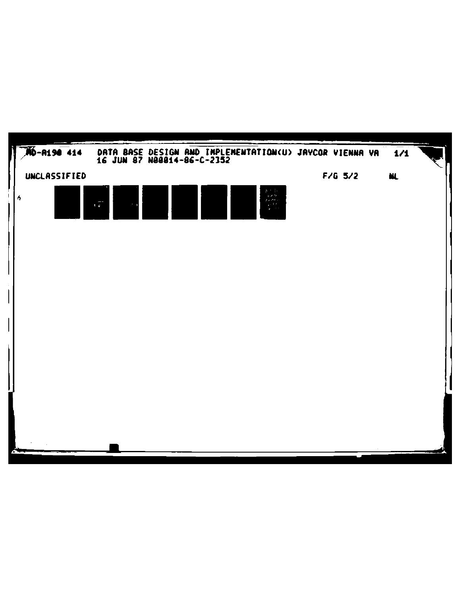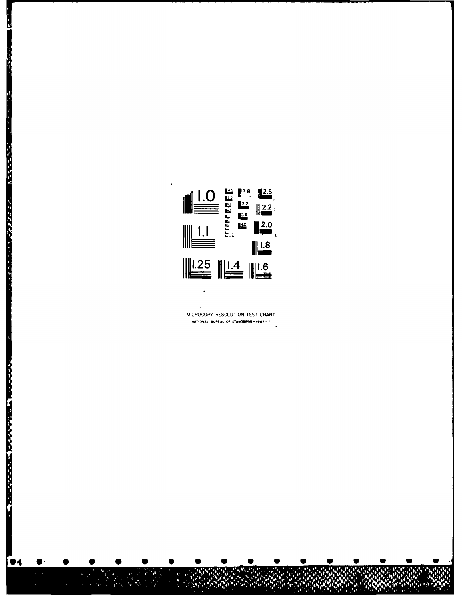

**The Second State** 

**Report Follows** 

MICROCOPY RESOLUTION TEST CHART NATIONAL BUREAU OF STANDARDS -1963-A

 $\ddot{\bullet}$ 

 $\overline{a}$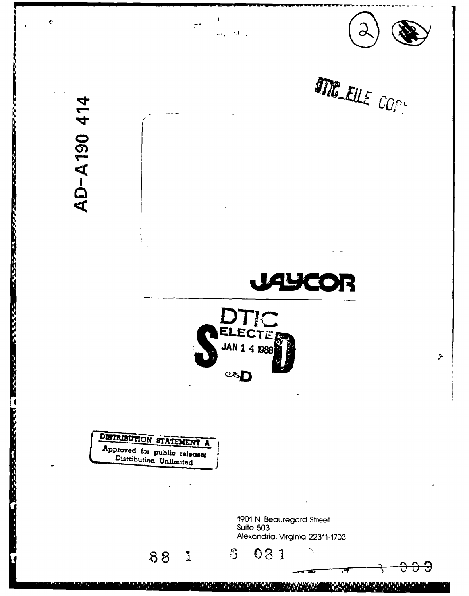

<u>Marin</u> **ANGEL**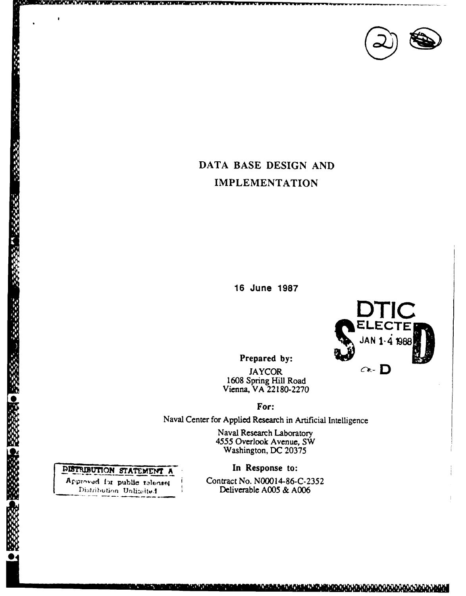

# DATA BASE DESIGN AND **IMPLEMENTATION**

16 June 1987



<u>Marakananska komunisti (organisti (organisti (organisti (org</u>

Prepared by:

**JAYCOR** 1608 Spring Hill Road<br>Vienna, VA 22180-2270

For:

Naval Center for Applied Research in Artificial Intelligence

Naval Research Laboratory 4555 Overlook Avenue, SW<br>Washington, DC 20375

In Response to:

Contract No. N00014-86-C-2352 Deliverable A005 & A006

## DISTRIBUTION STATEMENT A

○ 高速電話 (1)

Approved for public telecises Distribution Unlimited

وتقويتهم

**Purvicio**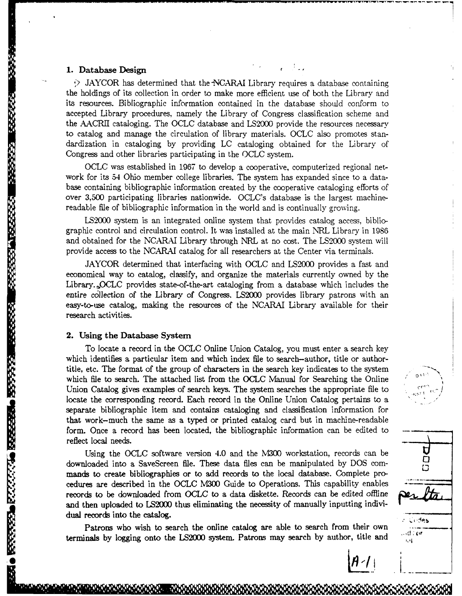#### **1.** Database Design

**Bandara** 

**WARRANT WARRENT** 

● 「 」 「 」 「 」 「 」 「 」 「 」 「 」 」

KAASSE OKRAARS ON MAAR ON BAASSARS

 $\geq$  JAYCOR has determined that the NCARAI Library requires a database containing the holdings of its collection in order to make more efficient use of both the Library and its resources. Bibliographic information contained in the database should conform to accepted Library procedures, namely the Library of Congress classification scheme and the AACRII cataloging. The OCLC database and LS2000 provide the resources necessary to catalog and manage the circulation of library materials. OCLC also promotes standardization in cataloging by providing LC cataloging obtained for the Library of Congress and other libraries participating in the OCLC system.

OCLC was established in 1967 to develop a cooperative, computerized regional network for its 54 Ohio member college libraries. The system has expanded since to a database containing bibliographic information created by the cooperative cataloging efforts of over 3,500 participating libraries nationwide. OCLC's database is the largest machinereadable file of bibliographic information in the world and is continually growing.

LS2000 system is an integrated online system that provides catalog access, bibliographic control and circulation control. It was installed at the main NRL Library in 1986 and obtained for the NCARAI Library through NRL at no cost. The LS2000 system will provide access to the NCARAI catalog for all researchers at the Center via terminals.

JAYCOR determined that interfacing with OCLC and LS2000 provides a fast and economical way to catalog, classify, and organize the materials currently owned by the Library. OCLC provides state-of-the-art cataloging from a database which includes the entire c6llection of the Library of Congress. LS2000 provides library patrons with an easy-to-use catalog, making the resources of the NCARAI Library available for their research activities.

#### 2. Using the Database System

To locate a record in the **OCLC** Online Union Catalog, you must enter a search key which identifies a particular item and which index file to search-author, title or authortitle, etc. The format of the group of characters in the search key indicates to the system which file to search. The attached list from the OCLC Manual for Searching the Online Union Catalog gives examples of search keys. The system searches the appropriate file to locate the corresponding record. Each record in the Online Union Catalog pertains to a separate bibliographic item and contains cataloging and classification information for that work-much the same as a typed or printed catalog card but in machine-readable form. Once a record has been located, the bibliographic information can be edited to reflect local needs.

Using the OCLC software version 4.0 and the M300 workstation, records can be  $\Box$ downloaded into a SaveScreen file. These data files can be manipulated by DOS commands to create bibliographies or to add records to the local database. Complete procedures are described in the OCLC M300 Guide to Operations. This capability enables records to be downloaded from OCLC to a data diskette. Records can be edited offiine and then uploaded to LS2000 thus eliminating the necessity of manually inputting individual records into the catalog.

Patrons who wish to search the online catalog are able to search from their own terminals by logging onto the LS2000 system. Patrons may search by author, title and

O Tā Judes …d≑or  $\mathbf{L} \cdot \mathbf{I}$ 

 $A - 1$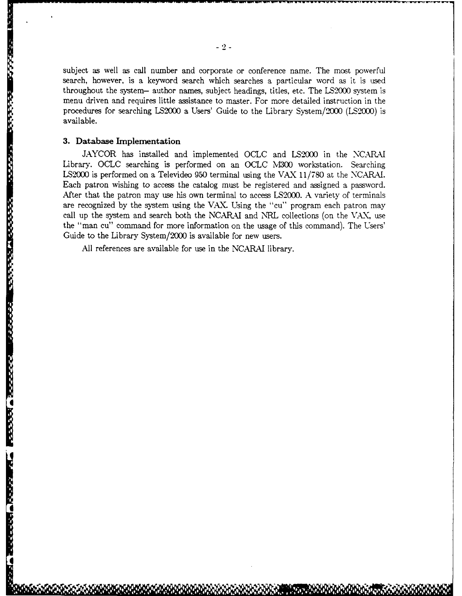subject as well as call number and corporate or conference name. The most powerful search, however, is a keyword search which searches a particular word as it is used throughout the system- author names, subject headings, titles, etc. The LS2000 system is menu driven and requires little assistance to master. For more detailed instruction in the procedures for searching LS2000 a Users' Guide to the Library System/2000 (LS2000) is available.

#### **3. Database Implementation**

I

**CONTRACTOR** 

*CONSTRUCTION* 

**SARA MARATASA** 

a<br>I

**I**

**JAYCOR** has installed and implemented OCLC and **LS2000** in the **NCARMI** Library. OCLC searching is performed on an OCLC M300 workstation. Searching LS2W00 is performed on a Televideo 950 terminal using the VAX 11/780 at the NCARAI. Each patron wishing to access the catalog must be registered and assigned a password. After that the patron may use his own terminal to access LS2000. A variety of terminals are recognized by the system using the VAK. Using the "cu" program each patron may call up the system and search both the NCARAI and NRL collections (on the VAX, use the "man cu" command for more information on the usage of this command). The Users' Guide to the Library System/2000 is available for new users.

All references are available for use in the NCARAI library.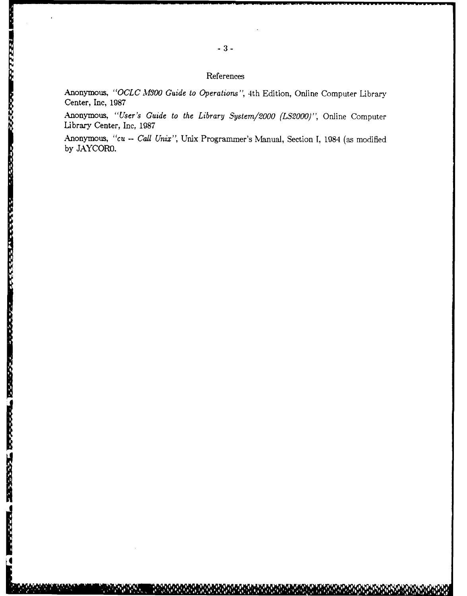#### References

Anonymous, *"OCLC M300 Guide to Operations",* 4th Edition, Online Computer Library Center, Inc, 1987

Anonymous, *"User's Guide to the Library System/2000 (LS2000)",* Online Computer Library Center, Inc, 1987

Anonymous, *"cu* -- *Call Unix",* Unix Programmer's Manual, Section **1,** 1984 (as modified by JAYCOR0.

*I*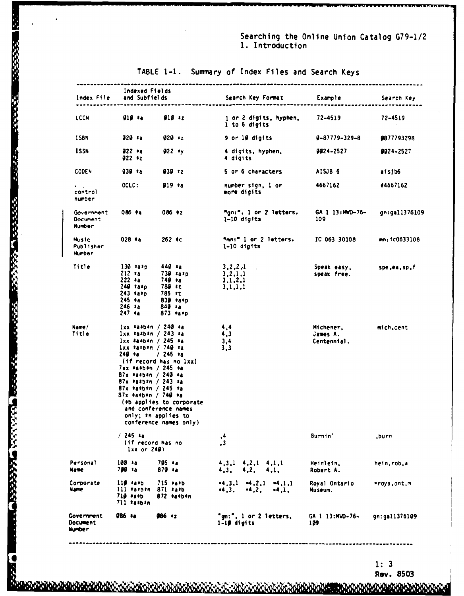Searching the Online Union Catalog G79-1/2 1. Introduction

| Index File                                     | Indexed Fields<br>and Subfields<br>____________________________                                                                                                                                                                                                                                                                                                                    | Search Key Format                                                | Example                              | Search Key    |
|------------------------------------------------|------------------------------------------------------------------------------------------------------------------------------------------------------------------------------------------------------------------------------------------------------------------------------------------------------------------------------------------------------------------------------------|------------------------------------------------------------------|--------------------------------------|---------------|
| LCCN                                           | $919 \div a$<br>$919 * z$                                                                                                                                                                                                                                                                                                                                                          | 1 or 2 digits, hyphen,<br>1 to 6 digits                          | 72-4519                              | 72-4519       |
| <b>ISBN</b>                                    | 929 *a<br>$929 + z$                                                                                                                                                                                                                                                                                                                                                                | 9 or 10 digits                                                   | 9-87779-329-8                        | 9877793298    |
| <b>ISSN</b>                                    | $922 *a$<br>$922 *y$<br>$922 * z$                                                                                                                                                                                                                                                                                                                                                  | 4 digits, hyphen,<br>4 digits                                    | 9924-2527                            | 9924~2527     |
| <b>CODEN</b>                                   | $939 *a$<br>$930 + z$                                                                                                                                                                                                                                                                                                                                                              | 5 or 6 characters                                                | AISJB 6                              | aisjb6        |
| $\mathbf{V}=\mathbf{V}$ .<br>control<br>number | OCLC:<br>$919 *a$                                                                                                                                                                                                                                                                                                                                                                  | number sign, 1 or<br>more digits                                 | 4667162                              | #4667162      |
| Government<br>Document<br><b>Number</b>        | $086 + a$<br>$086 + z$                                                                                                                                                                                                                                                                                                                                                             | "gn:". 1 or 2 letters.<br>$1-10$ digits                          | GA 1 13:MWD-76-<br>109               | gn:gall376109 |
| Music<br>Publisher<br>Number                   | $028 + a$<br>$262 \text{ } *c$                                                                                                                                                                                                                                                                                                                                                     | "mn:" 1 or 2 letters.<br>$1-10$ digits                           | IC 063 30108                         | mn:1c0633106  |
| Title                                          | $130 *a *p$<br>$440 *a$<br>$212 * a$<br>$739$ $*$ a $*$ p<br>$222 * a$<br>740 ‡a<br>780 ‡t<br>$249$ $*$ a $*$ p<br>$243$ *a*o<br>785 *t<br>245 ∗a<br>830 *a*p<br>246 ≉a<br>$849 \t{1}$<br>$247 *a$<br>$873$ *a*p                                                                                                                                                                   | 3, 2, 2, 1<br>$\sim 10^{-1}$<br>3, 2, 1, 1<br>3,1,2,1<br>3.1.1.1 | Speak easy,<br>speak free.           | spe,ea,sp,f   |
| Name/<br>Title                                 | $1xx$ *a*b*n / 240 *a<br>$1xx + a+b+n / 243 + a$<br>$1xx$ *a*b*n / 245 *a<br>1xx *a*b*n / 740 *a<br>$249 * a$<br>$/245$ *a<br>(if record has no lxx)<br>7xx #a*b*n / 245 *a<br>$87x$ *a*b*n / 240 *a<br>87x *a*b*n / 243 *a<br>$87x$ #a#b#n / 245 #a<br>$87x$ *a*b*n / 740 *a<br>(*b applies to corporate<br>and conference names<br>only; *n applies to<br>conference names only) | 4,4<br>4,3<br>3,4<br>3,3                                         | Michener,<br>James A.<br>Centennial. | mich,cent     |
|                                                | $/245$ *a<br>(if record has no<br>$lxx$ or $240l$                                                                                                                                                                                                                                                                                                                                  | , 4<br>$\cdot$ <sup>3</sup>                                      | Burnin'                              | ,burn         |
| Personal<br>Name                               | 100 *a<br>705 ∗а<br>700 ta<br>$879$ *a                                                                                                                                                                                                                                                                                                                                             | $4,3,1$ $4,2,1$ $4,1,1$<br>4,2,<br>4,3,<br>4,1.                  | Heinlein,<br>Robert A.               | hein,rob,a    |
| Corporate<br>Name                              | $715$ *a*b<br>$119$ $**b$<br>$111$ $\pm$ a $\pm$ b $\pm$ n<br>$871$ $*ab$<br>$719 + 155$<br>872 *a*b*n<br>711 *a*b*n                                                                                                                                                                                                                                                               | $-4,3,1$ $-4,2,1$ $-4,1,1$<br>$-4, 3,$<br>$-4, 2,$<br>$-4.1.$    | Royal Ontario<br>Museum.             | *roya,ont,m   |
| Government<br>Document<br>Number               | 986 *a<br>986 *z                                                                                                                                                                                                                                                                                                                                                                   | "gn:", l or 2 letters,<br>$1 - 10$ digits                        | GA 1 13:MWD-76-<br>199               | gn:gall376109 |

### TABLE 1-1. Summary of Index Files and Search Keys

**PERSONAL** 

**The Second State** 

医心脏病的

**CONSIGNATION** 

ESPECIE DE PARTIE DE SESSEE

**MAANOHAN** 

 $1:3$ 

**DADADAREADA** 

Rev. 8503